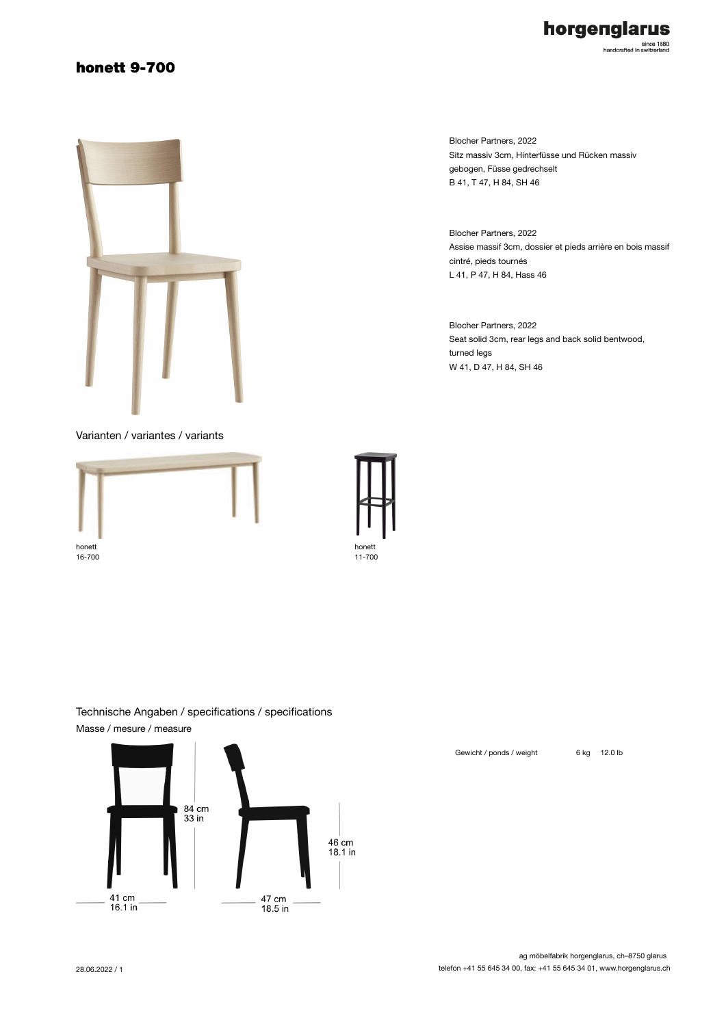## honett 9-700



Varianten / variantes / variants





Technische Angaben / specifications / specifications Masse / mesure / measure



Blocher Partners, 2022 Sitz massiv 3cm, Hinterfüsse und Rücken massiv gebogen, Füsse gedrechselt B 41, T 47, H 84, SH 46

horgenglarus

since 1880<br>handcrafted in switzerland

Blocher Partners, 2022 Assise massif 3cm, dossier et pieds arrière en bois massif cintré, pieds tournés L 41, P 47, H 84, Hass 46

Blocher Partners, 2022 Seat solid 3cm, rear legs and back solid bentwood, turned legs W 41, D 47, H 84, SH 46

Gewicht / ponds / weight 6 kg 12.0 lb